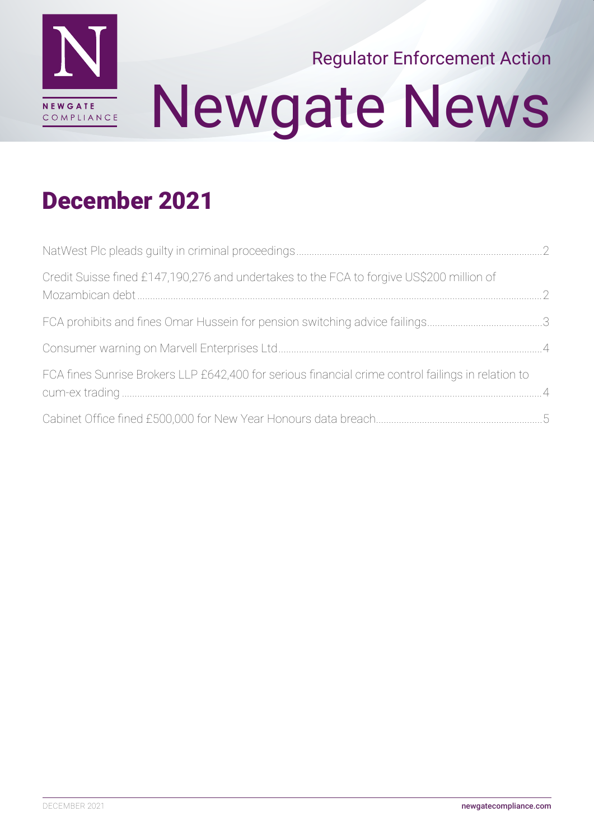

# Newgate News Regulator Enforcement Action

### December 2021

| Credit Suisse fined £147,190,276 and undertakes to the FCA to forgive US\$200 million of           |  |
|----------------------------------------------------------------------------------------------------|--|
|                                                                                                    |  |
|                                                                                                    |  |
| FCA fines Sunrise Brokers LLP £642,400 for serious financial crime control failings in relation to |  |
|                                                                                                    |  |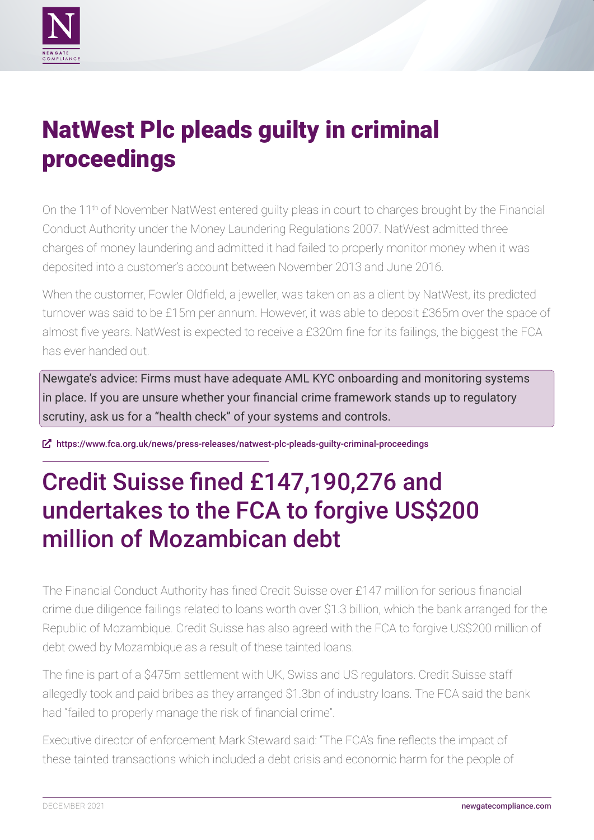<span id="page-1-0"></span>

# NatWest Plc pleads guilty in criminal proceedings

On the 11<sup>th</sup> of November NatWest entered guilty pleas in court to charges brought by the Financial Conduct Authority under the Money Laundering Regulations 2007. NatWest admitted three charges of money laundering and admitted it had failed to properly monitor money when it was deposited into a customer's account between November 2013 and June 2016.

When the customer, Fowler Oldfield, a jeweller, was taken on as a client by NatWest, its predicted turnover was said to be £15m per annum. However, it was able to deposit £365m over the space of almost five years. NatWest is expected to receive a £320m fine for its failings, the biggest the FCA has ever handed out.

Newgate's advice: Firms must have adequate AML KYC onboarding and monitoring systems in place. If you are unsure whether your financial crime framework stands up to regulatory scrutiny, ask us for a "health check" of your systems and controls.

ȧ <https://www.fca.org.uk/news/press-releases/natwest-plc-pleads-guilty-criminal-proceedings>

# Credit Suisse fined £147,190,276 and undertakes to the FCA to forgive US\$200 million of Mozambican debt

The Financial Conduct Authority has fined Credit Suisse over £147 million for serious financial crime due diligence failings related to loans worth over \$1.3 billion, which the bank arranged for the Republic of Mozambique. Credit Suisse has also agreed with the FCA to forgive US\$200 million of debt owed by Mozambique as a result of these tainted loans.

The fine is part of a \$475m settlement with UK, Swiss and US regulators. Credit Suisse staff allegedly took and paid bribes as they arranged \$1.3bn of industry loans. The FCA said the bank had "failed to properly manage the risk of financial crime".

Executive director of enforcement Mark Steward said: "The FCA's fine reflects the impact of these tainted transactions which included a debt crisis and economic harm for the people of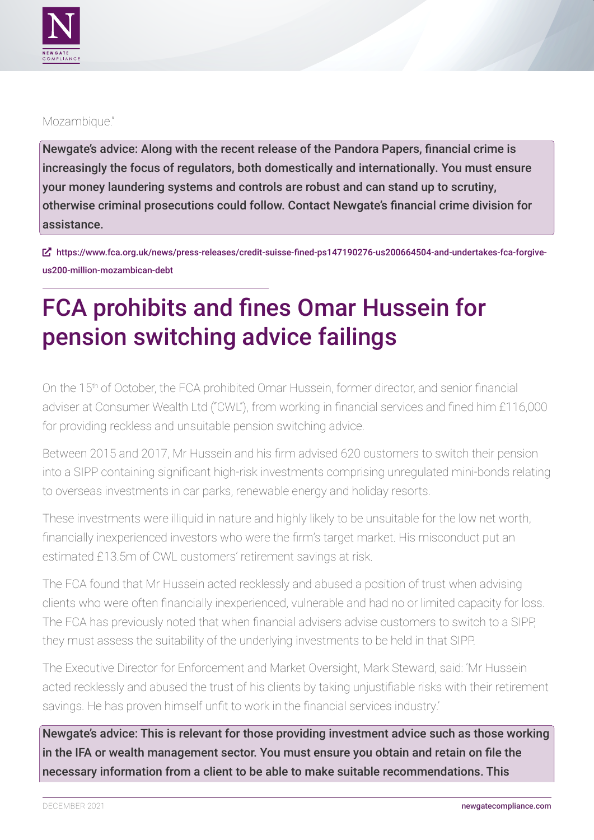<span id="page-2-0"></span>

### Mozambique."

Newgate's advice: Along with the recent release of the Pandora Papers, financial crime is increasingly the focus of regulators, both domestically and internationally. You must ensure your money laundering systems and controls are robust and can stand up to scrutiny, otherwise criminal prosecutions could follow. Contact Newgate's financial crime division for assistance.

ȧ [https://www.fca.org.uk/news/press-releases/credit-suisse-fined-ps147190276-us200664504-and-undertakes-fca-forgive](https://www.fca.org.uk/news/press-releases/credit-suisse-fined-ps147190276-us200664504-and-undertakes-fca-forgive-us200-million-mozambican-debt)[us200-million-mozambican-debt](https://www.fca.org.uk/news/press-releases/credit-suisse-fined-ps147190276-us200664504-and-undertakes-fca-forgive-us200-million-mozambican-debt)

# FCA prohibits and fines Omar Hussein for pension switching advice failings

On the 15th of October, the FCA prohibited Omar Hussein, former director, and senior financial adviser at Consumer Wealth Ltd ("CWL"), from working in financial services and fined him £116,000 for providing reckless and unsuitable pension switching advice.

Between 2015 and 2017, Mr Hussein and his firm advised 620 customers to switch their pension into a SIPP containing significant high-risk investments comprising unregulated mini-bonds relating to overseas investments in car parks, renewable energy and holiday resorts.

These investments were illiquid in nature and highly likely to be unsuitable for the low net worth, financially inexperienced investors who were the firm's target market. His misconduct put an estimated £13.5m of CWL customers' retirement savings at risk.

The FCA found that Mr Hussein acted recklessly and abused a position of trust when advising clients who were often financially inexperienced, vulnerable and had no or limited capacity for loss. The FCA has previously noted that when financial advisers advise customers to switch to a SIPP, they must assess the suitability of the underlying investments to be held in that SIPP.

The Executive Director for Enforcement and Market Oversight, Mark Steward, said: 'Mr Hussein acted recklessly and abused the trust of his clients by taking unjustifiable risks with their retirement savings. He has proven himself unfit to work in the financial services industry.'

Newgate's advice: This is relevant for those providing investment advice such as those working in the IFA or wealth management sector. You must ensure you obtain and retain on file the necessary information from a client to be able to make suitable recommendations. This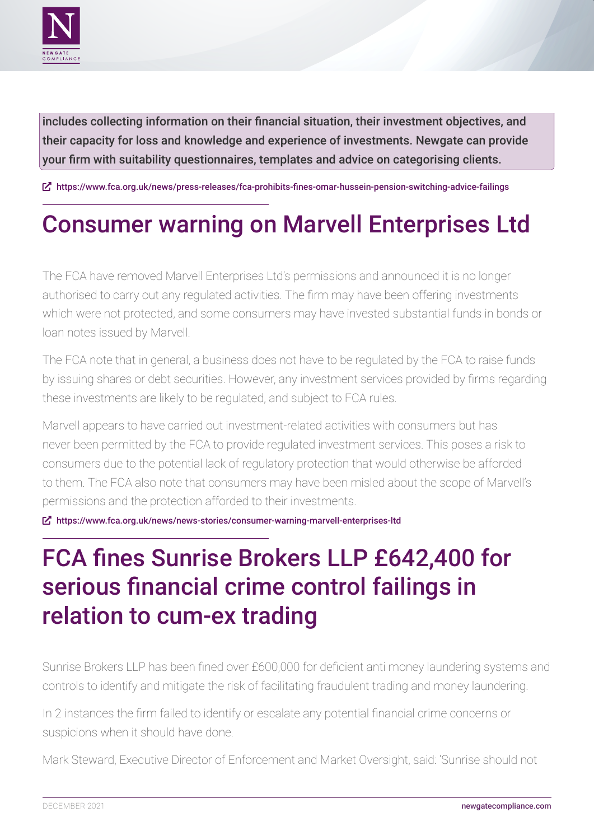<span id="page-3-0"></span>

includes collecting information on their financial situation, their investment objectives, and their capacity for loss and knowledge and experience of investments. Newgate can provide your firm with suitability questionnaires, templates and advice on categorising clients.

ȧ <https://www.fca.org.uk/news/press-releases/fca-prohibits-fines-omar-hussein-pension-switching-advice-failings>

### Consumer warning on Marvell Enterprises Ltd

The FCA have removed Marvell Enterprises Ltd's permissions and announced it is no longer authorised to carry out any regulated activities. The firm may have been offering investments which were not protected, and some consumers may have invested substantial funds in bonds or loan notes issued by Marvell. 

The FCA note that in general, a business does not have to be regulated by the FCA to raise funds by issuing shares or debt securities. However, any investment services provided by firms regarding these investments are likely to be regulated, and subject to FCA rules. 

Marvell appears to have carried out investment-related activities with consumers but has never been permitted by the FCA to provide regulated investment services. This poses a risk to consumers due to the potential lack of regulatory protection that would otherwise be afforded to them. The FCA also note that consumers may have been misled about the scope of Marvell's permissions and the protection afforded to their investments.

ȧ <https://www.fca.org.uk/news/news-stories/consumer-warning-marvell-enterprises-ltd>

# FCA fines Sunrise Brokers LLP £642,400 for serious financial crime control failings in relation to cum-ex trading

Sunrise Brokers LLP has been fined over £600,000 for deficient anti money laundering systems and controls to identify and mitigate the risk of facilitating fraudulent trading and money laundering.

In 2 instances the firm failed to identify or escalate any potential financial crime concerns or suspicions when it should have done.

Mark Steward, Executive Director of Enforcement and Market Oversight, said: 'Sunrise should not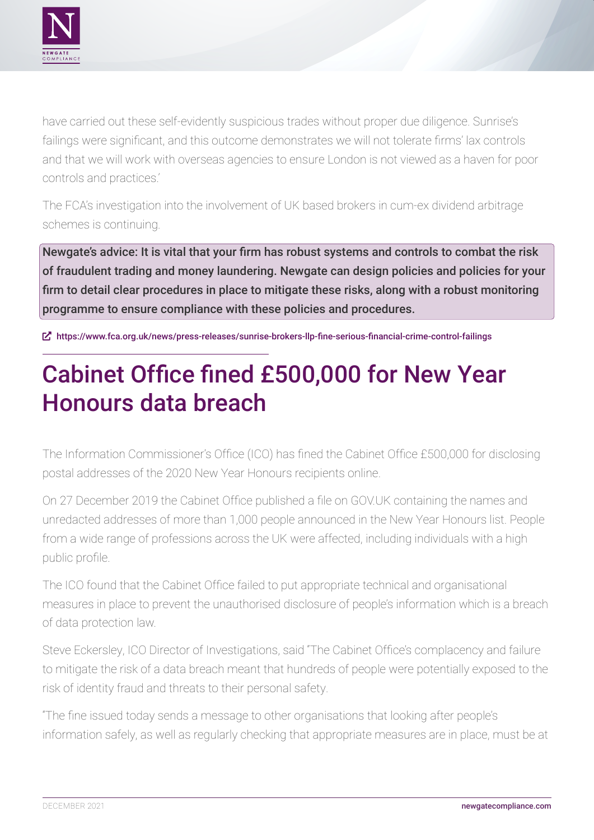<span id="page-4-0"></span>

have carried out these self-evidently suspicious trades without proper due diligence. Sunrise's failings were significant, and this outcome demonstrates we will not tolerate firms' lax controls and that we will work with overseas agencies to ensure London is not viewed as a haven for poor controls and practices.'

The FCA's investigation into the involvement of UK based brokers in cum-ex dividend arbitrage schemes is continuing.

Newgate's advice: It is vital that your firm has robust systems and controls to combat the risk of fraudulent trading and money laundering. Newgate can design policies and policies for your firm to detail clear procedures in place to mitigate these risks, along with a robust monitoring programme to ensure compliance with these policies and procedures.

ȧ <https://www.fca.org.uk/news/press-releases/sunrise-brokers-llp-fine-serious-financial-crime-control-failings>

# Cabinet Office fined £500,000 for New Year Honours data breach

The Information Commissioner's Office (ICO) has fined the Cabinet Office £500,000 for disclosing postal addresses of the 2020 New Year Honours recipients online.

On 27 December 2019 the Cabinet Office published a file on GOV.UK containing the names and unredacted addresses of more than 1,000 people announced in the New Year Honours list. People from a wide range of professions across the UK were affected, including individuals with a high public profile.

The ICO found that the Cabinet Office failed to put appropriate technical and organisational measures in place to prevent the unauthorised disclosure of people's information which is a breach of data protection law.

Steve Eckersley, ICO Director of Investigations, said "The Cabinet Office's complacency and failure to mitigate the risk of a data breach meant that hundreds of people were potentially exposed to the risk of identity fraud and threats to their personal safety.

"The fine issued today sends a message to other organisations that looking after people's information safely, as well as regularly checking that appropriate measures are in place, must be at